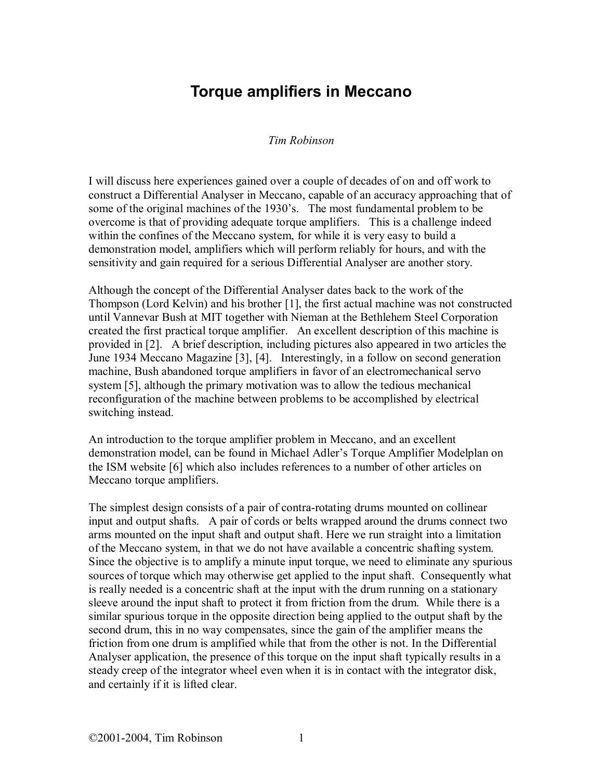## **Torque amplifiers in Meccano**

## *Tim Robinson*

I will discuss here experiences gained over a couple of decades of on and off work to construct a Differential Analyser in Meccano, capable of an accuracy approaching that of some of the original machines of the 1930's. The most fundamental problem to be overcome is that of providing adequate torque amplifiers. This is a challenge indeed within the confines of the Meccano system, for while it is very easy to build a demonstration model, amplifiers which will perform reliably for hours, and with the sensitivity and gain required for a serious Differential Analyser are another story.

Although the concept of the Differential Analyser dates back to the work of the Thompson (Lord Kelvin) and his brother [1], the first actual machine was not constructed until Vannevar Bush at MIT together with Nieman at the Bethlehem Steel Corporation created the first practical torque amplifier. An excellent description of this machine is provided in [2]. A brief description, including pictures also appeared in two articles the June 1934 Meccano Magazine [3], [4]. Interestingly, in a follow on second generation machine, Bush abandoned torque amplifiers in favor of an electromechanical servo system [5], although the primary motivation was to allow the tedious mechanical reconfiguration of the machine between problems to be accomplished by electrical switching instead.

An introduction to the torque amplifier problem in Meccano, and an excellent demonstration model, can be found in Michael Adler's Torque Amplifier Modelplan on the ISM website [6] which also includes references to a number of other articles on Meccano torque amplifiers.

The simplest design consists of a pair of contra-rotating drums mounted on collinear input and output shafts. A pair of cords or belts wrapped around the drums connect two arms mounted on the input shaft and output shaft. Here we run straight into a limitation of the Meccano system, in that we do not have available a concentric shafting system. Since the objective is to amplify a minute input torque, we need to eliminate any spurious sources of torque which may otherwise get applied to the input shaft. Consequently what is really needed is a concentric shaft at the input with the drum running on a stationary sleeve around the input shaft to protect it from friction from the drum. While there is a similar spurious torque in the opposite direction being applied to the output shaft by the second drum, this in no way compensates, since the gain of the amplifier means the friction from one drum is amplified while that from the other is not. In the Differential Analyser application, the presence of this torque on the input shaft typically results in a steady creep of the integrator wheel even when it is in contact with the integrator disk, and certainly if it is lifted clear.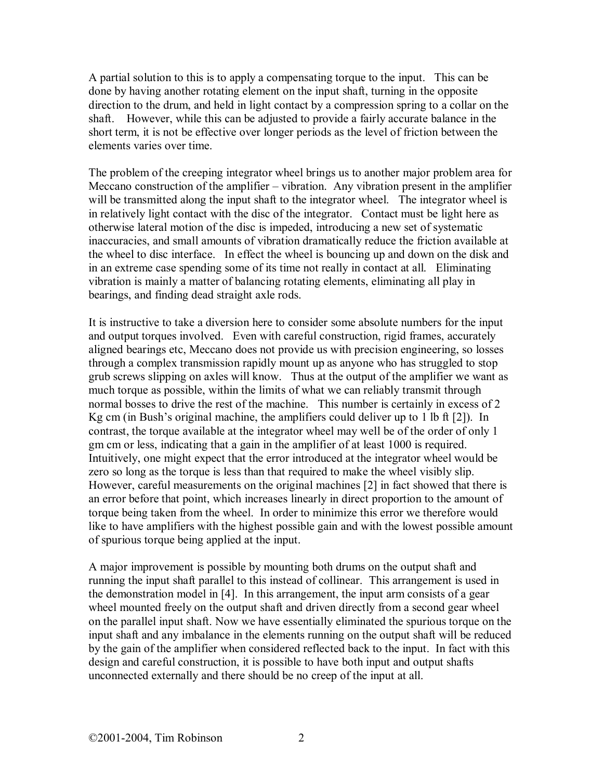A partial solution to this is to apply a compensating torque to the input. This can be done by having another rotating element on the input shaft, turning in the opposite direction to the drum, and held in light contact by a compression spring to a collar on the shaft. However, while this can be adjusted to provide a fairly accurate balance in the short term, it is not be effective over longer periods as the level of friction between the elements varies over time.

The problem of the creeping integrator wheel brings us to another major problem area for Meccano construction of the amplifier – vibration. Any vibration present in the amplifier will be transmitted along the input shaft to the integrator wheel. The integrator wheel is in relatively light contact with the disc of the integrator. Contact must be light here as otherwise lateral motion of the disc is impeded, introducing a new set of systematic inaccuracies, and small amounts of vibration dramatically reduce the friction available at the wheel to disc interface. In effect the wheel is bouncing up and down on the disk and in an extreme case spending some of its time not really in contact at all. Eliminating vibration is mainly a matter of balancing rotating elements, eliminating all play in bearings, and finding dead straight axle rods.

It is instructive to take a diversion here to consider some absolute numbers for the input and output torques involved. Even with careful construction, rigid frames, accurately aligned bearings etc, Meccano does not provide us with precision engineering, so losses through a complex transmission rapidly mount up as anyone who has struggled to stop grub screws slipping on axles will know. Thus at the output of the amplifier we want as much torque as possible, within the limits of what we can reliably transmit through normal bosses to drive the rest of the machine. This number is certainly in excess of 2 Kg cm (in Bush's original machine, the amplifiers could deliver up to 1 lb ft [2]). In contrast, the torque available at the integrator wheel may well be of the order of only 1 gm cm or less, indicating that a gain in the amplifier of at least 1000 is required. Intuitively, one might expect that the error introduced at the integrator wheel would be zero so long as the torque is less than that required to make the wheel visibly slip. However, careful measurements on the original machines [2] in fact showed that there is an error before that point, which increases linearly in direct proportion to the amount of torque being taken from the wheel. In order to minimize this error we therefore would like to have amplifiers with the highest possible gain and with the lowest possible amount of spurious torque being applied at the input.

A major improvement is possible by mounting both drums on the output shaft and running the input shaft parallel to this instead of collinear. This arrangement is used in the demonstration model in [4]. In this arrangement, the input arm consists of a gear wheel mounted freely on the output shaft and driven directly from a second gear wheel on the parallel input shaft. Now we have essentially eliminated the spurious torque on the input shaft and any imbalance in the elements running on the output shaft will be reduced by the gain of the amplifier when considered reflected back to the input. In fact with this design and careful construction, it is possible to have both input and output shafts unconnected externally and there should be no creep of the input at all.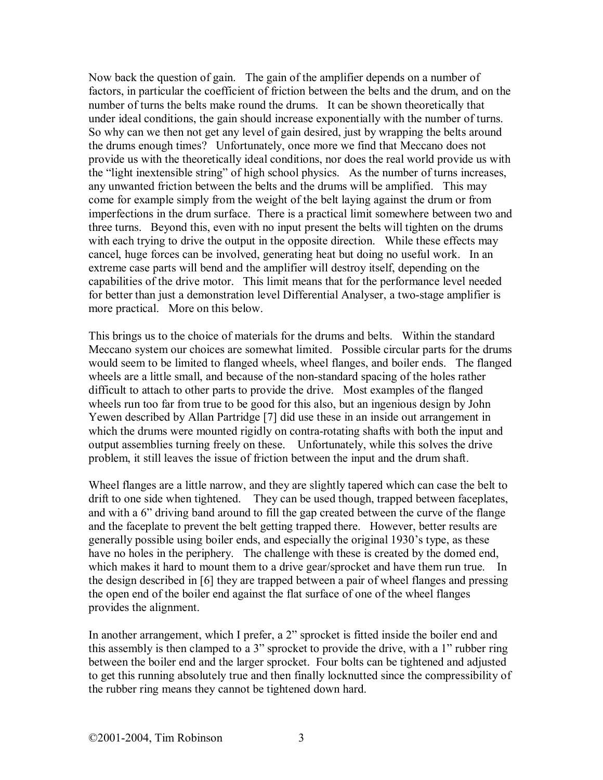Now back the question of gain. The gain of the amplifier depends on a number of factors, in particular the coefficient of friction between the belts and the drum, and on the number of turns the belts make round the drums. It can be shown theoretically that under ideal conditions, the gain should increase exponentially with the number of turns. So why can we then not get any level of gain desired, just by wrapping the belts around the drums enough times? Unfortunately, once more we find that Meccano does not provide us with the theoretically ideal conditions, nor does the real world provide us with the "light inextensible string" of high school physics. As the number of turns increases, any unwanted friction between the belts and the drums will be amplified. This may come for example simply from the weight of the belt laying against the drum or from imperfections in the drum surface. There is a practical limit somewhere between two and three turns. Beyond this, even with no input present the belts will tighten on the drums with each trying to drive the output in the opposite direction. While these effects may cancel, huge forces can be involved, generating heat but doing no useful work. In an extreme case parts will bend and the amplifier will destroy itself, depending on the capabilities of the drive motor. This limit means that for the performance level needed for better than just a demonstration level Differential Analyser, a two-stage amplifier is more practical. More on this below.

This brings us to the choice of materials for the drums and belts. Within the standard Meccano system our choices are somewhat limited. Possible circular parts for the drums would seem to be limited to flanged wheels, wheel flanges, and boiler ends. The flanged wheels are a little small, and because of the non-standard spacing of the holes rather difficult to attach to other parts to provide the drive. Most examples of the flanged wheels run too far from true to be good for this also, but an ingenious design by John Yewen described by Allan Partridge [7] did use these in an inside out arrangement in which the drums were mounted rigidly on contra-rotating shafts with both the input and output assemblies turning freely on these. Unfortunately, while this solves the drive problem, it still leaves the issue of friction between the input and the drum shaft.

Wheel flanges are a little narrow, and they are slightly tapered which can case the belt to drift to one side when tightened. They can be used though, trapped between faceplates, and with a 6" driving band around to fill the gap created between the curve of the flange and the faceplate to prevent the belt getting trapped there. However, better results are generally possible using boiler ends, and especially the original 1930's type, as these have no holes in the periphery. The challenge with these is created by the domed end, which makes it hard to mount them to a drive gear/sprocket and have them run true. In the design described in [6] they are trapped between a pair of wheel flanges and pressing the open end of the boiler end against the flat surface of one of the wheel flanges provides the alignment.

In another arrangement, which I prefer, a 2" sprocket is fitted inside the boiler end and this assembly is then clamped to a 3" sprocket to provide the drive, with a 1" rubber ring between the boiler end and the larger sprocket. Four bolts can be tightened and adjusted to get this running absolutely true and then finally locknutted since the compressibility of the rubber ring means they cannot be tightened down hard.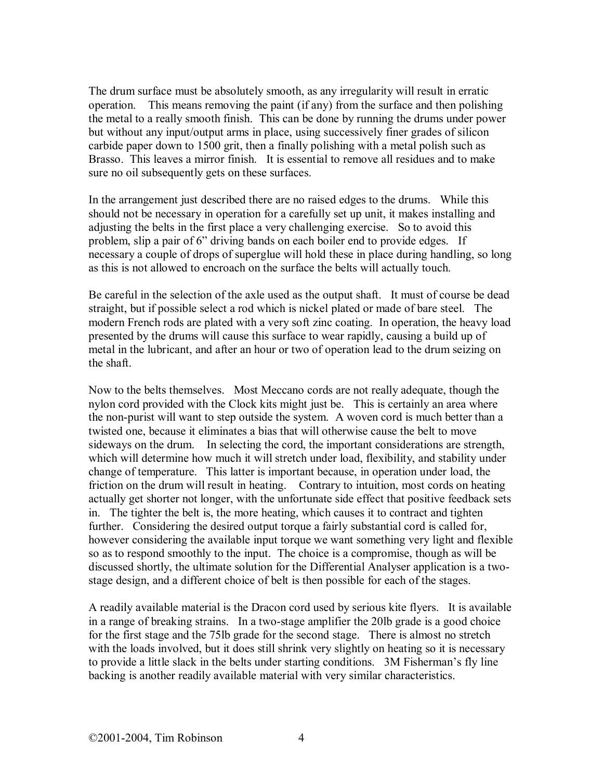The drum surface must be absolutely smooth, as any irregularity will result in erratic operation. This means removing the paint (if any) from the surface and then polishing the metal to a really smooth finish. This can be done by running the drums under power but without any input/output arms in place, using successively finer grades of silicon carbide paper down to 1500 grit, then a finally polishing with a metal polish such as Brasso. This leaves a mirror finish. It is essential to remove all residues and to make sure no oil subsequently gets on these surfaces.

In the arrangement just described there are no raised edges to the drums. While this should not be necessary in operation for a carefully set up unit, it makes installing and adjusting the belts in the first place a very challenging exercise. So to avoid this problem, slip a pair of 6" driving bands on each boiler end to provide edges. If necessary a couple of drops of superglue will hold these in place during handling, so long as this is not allowed to encroach on the surface the belts will actually touch.

Be careful in the selection of the axle used as the output shaft. It must of course be dead straight, but if possible select a rod which is nickel plated or made of bare steel. The modern French rods are plated with a very soft zinc coating. In operation, the heavy load presented by the drums will cause this surface to wear rapidly, causing a build up of metal in the lubricant, and after an hour or two of operation lead to the drum seizing on the shaft.

Now to the belts themselves. Most Meccano cords are not really adequate, though the nylon cord provided with the Clock kits might just be. This is certainly an area where the non-purist will want to step outside the system. A woven cord is much better than a twisted one, because it eliminates a bias that will otherwise cause the belt to move sideways on the drum. In selecting the cord, the important considerations are strength, which will determine how much it will stretch under load, flexibility, and stability under change of temperature. This latter is important because, in operation under load, the friction on the drum will result in heating. Contrary to intuition, most cords on heating actually get shorter not longer, with the unfortunate side effect that positive feedback sets in. The tighter the belt is, the more heating, which causes it to contract and tighten further. Considering the desired output torque a fairly substantial cord is called for, however considering the available input torque we want something very light and flexible so as to respond smoothly to the input. The choice is a compromise, though as will be discussed shortly, the ultimate solution for the Differential Analyser application is a twostage design, and a different choice of belt is then possible for each of the stages.

A readily available material is the Dracon cord used by serious kite flyers. It is available in a range of breaking strains. In a two-stage amplifier the 20lb grade is a good choice for the first stage and the 75lb grade for the second stage. There is almost no stretch with the loads involved, but it does still shrink very slightly on heating so it is necessary to provide a little slack in the belts under starting conditions. 3M Fisherman's fly line backing is another readily available material with very similar characteristics.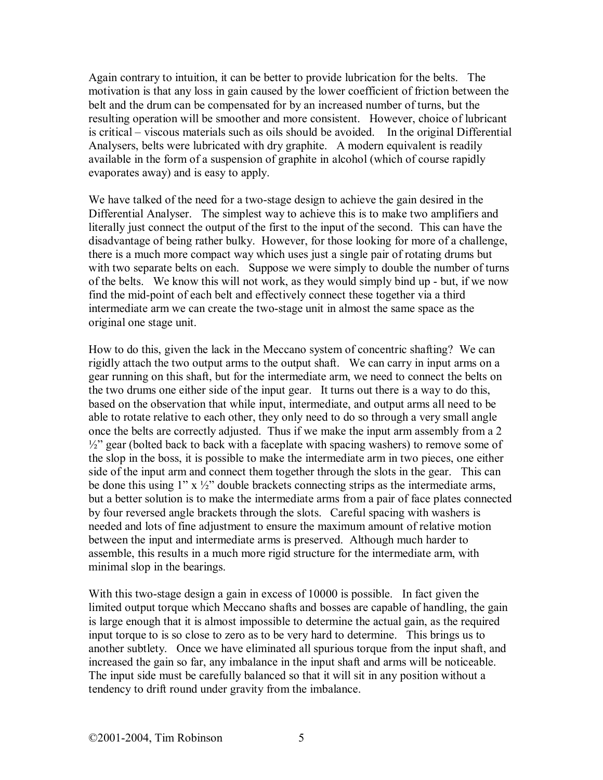Again contrary to intuition, it can be better to provide lubrication for the belts. The motivation is that any loss in gain caused by the lower coefficient of friction between the belt and the drum can be compensated for by an increased number of turns, but the resulting operation will be smoother and more consistent. However, choice of lubricant is critical – viscous materials such as oils should be avoided. In the original Differential Analysers, belts were lubricated with dry graphite. A modern equivalent is readily available in the form of a suspension of graphite in alcohol (which of course rapidly evaporates away) and is easy to apply.

We have talked of the need for a two-stage design to achieve the gain desired in the Differential Analyser. The simplest way to achieve this is to make two amplifiers and literally just connect the output of the first to the input of the second. This can have the disadvantage of being rather bulky. However, for those looking for more of a challenge, there is a much more compact way which uses just a single pair of rotating drums but with two separate belts on each. Suppose we were simply to double the number of turns of the belts. We know this will not work, as they would simply bind up - but, if we now find the mid-point of each belt and effectively connect these together via a third intermediate arm we can create the two-stage unit in almost the same space as the original one stage unit.

How to do this, given the lack in the Meccano system of concentric shafting? We can rigidly attach the two output arms to the output shaft. We can carry in input arms on a gear running on this shaft, but for the intermediate arm, we need to connect the belts on the two drums one either side of the input gear. It turns out there is a way to do this, based on the observation that while input, intermediate, and output arms all need to be able to rotate relative to each other, they only need to do so through a very small angle once the belts are correctly adjusted. Thus if we make the input arm assembly from a 2  $\frac{1}{2}$ " gear (bolted back to back with a faceplate with spacing washers) to remove some of the slop in the boss, it is possible to make the intermediate arm in two pieces, one either side of the input arm and connect them together through the slots in the gear. This can be done this using  $1''$  x  $\frac{1}{2}''$  double brackets connecting strips as the intermediate arms, but a better solution is to make the intermediate arms from a pair of face plates connected by four reversed angle brackets through the slots. Careful spacing with washers is needed and lots of fine adjustment to ensure the maximum amount of relative motion between the input and intermediate arms is preserved. Although much harder to assemble, this results in a much more rigid structure for the intermediate arm, with minimal slop in the bearings.

With this two-stage design a gain in excess of 10000 is possible. In fact given the limited output torque which Meccano shafts and bosses are capable of handling, the gain is large enough that it is almost impossible to determine the actual gain, as the required input torque to is so close to zero as to be very hard to determine. This brings us to another subtlety. Once we have eliminated all spurious torque from the input shaft, and increased the gain so far, any imbalance in the input shaft and arms will be noticeable. The input side must be carefully balanced so that it will sit in any position without a tendency to drift round under gravity from the imbalance.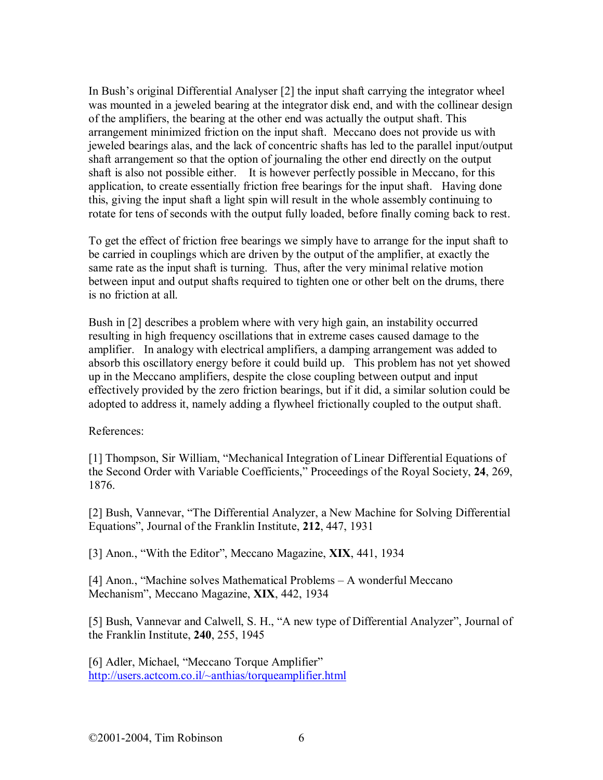In Bush's original Differential Analyser [2] the input shaft carrying the integrator wheel was mounted in a jeweled bearing at the integrator disk end, and with the collinear design of the amplifiers, the bearing at the other end was actually the output shaft. This arrangement minimized friction on the input shaft. Meccano does not provide us with jeweled bearings alas, and the lack of concentric shafts has led to the parallel input/output shaft arrangement so that the option of journaling the other end directly on the output shaft is also not possible either. It is however perfectly possible in Meccano, for this application, to create essentially friction free bearings for the input shaft. Having done this, giving the input shaft a light spin will result in the whole assembly continuing to rotate for tens of seconds with the output fully loaded, before finally coming back to rest.

To get the effect of friction free bearings we simply have to arrange for the input shaft to be carried in couplings which are driven by the output of the amplifier, at exactly the same rate as the input shaft is turning. Thus, after the very minimal relative motion between input and output shafts required to tighten one or other belt on the drums, there is no friction at all.

Bush in [2] describes a problem where with very high gain, an instability occurred resulting in high frequency oscillations that in extreme cases caused damage to the amplifier. In analogy with electrical amplifiers, a damping arrangement was added to absorb this oscillatory energy before it could build up. This problem has not yet showed up in the Meccano amplifiers, despite the close coupling between output and input effectively provided by the zero friction bearings, but if it did, a similar solution could be adopted to address it, namely adding a flywheel frictionally coupled to the output shaft.

References:

[1] Thompson, Sir William, "Mechanical Integration of Linear Differential Equations of the Second Order with Variable Coefficients," Proceedings of the Royal Society, **24**, 269, 1876.

[2] Bush, Vannevar, "The Differential Analyzer, a New Machine for Solving Differential Equations", Journal of the Franklin Institute, **212**, 447, 1931

[3] Anon., "With the Editor", Meccano Magazine, **XIX**, 441, 1934

[4] Anon., "Machine solves Mathematical Problems – A wonderful Meccano Mechanism", Meccano Magazine, **XIX**, 442, 1934

[5] Bush, Vannevar and Calwell, S. H., "A new type of Differential Analyzer", Journal of the Franklin Institute, **240**, 255, 1945

[6] Adler, Michael, "Meccano Torque Amplifier" http://users.actcom.co.il/~anthias/torqueamplifier.html